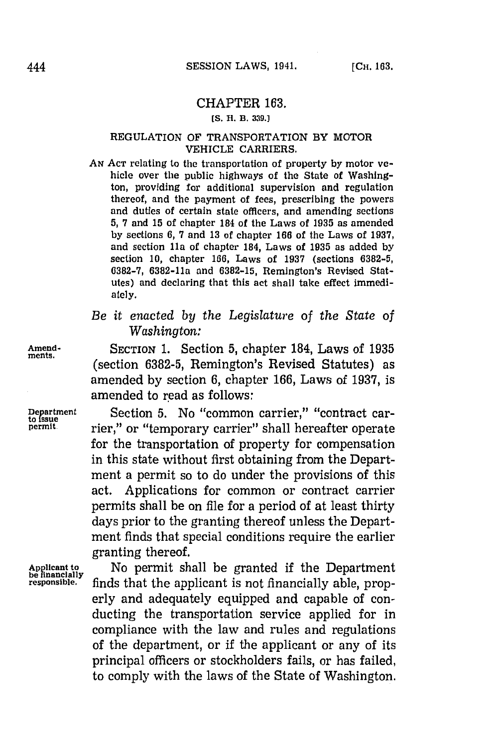## CHAPTER **163.**

## **[S. R. B. 3319.]**

## REGULATION OF TRANSPORTATION BY MOTOR **VEHICLE** CARRIERS.

**AN ACT** relating to the transportation of property **by** motor vehicle over the public highways of the State of Washington, providing for additional supervision and regulation thereof, and the payment of fees, prescribing the powers and duties of certain state officers, and amending sections **5, 7** and **15** of chapter 184 of the Laws of **1935** as amended **by** sections **6, 7** and **13** of chapter **166** of the Laws of **1937,** and section Ila of chapter 184, Laws of **1935** as added **by** section **10,** chapter **166,** Laws of **1937** (sections **6382-5, 6382-7,** 6382-11a and **6382-15,** Remington's Revised Statutes) and declaring that this act shall take effect immediately.

*Be it enacted by the Legislature of the State of Washington:*

**Amend-** SECTION **1.** Section **5,** chapter 184, Laws of **1935** (section **6382-5,** Remington's Revised Statutes) as amended **by** section **6,** chapter **166,** Laws of **1937,** is amended to read as follows:

Department Section 5. No "common carrier," "contract car-<br>permit. <br>permit. **The "contract car-** term carrier" chall becoefter energies rier," or "temporary carrier" shall hereafter operate for the transportation of property for compensation in this state without first obtaining from the Department a permit so to do under the provisions of this act. Applications for common or contract carrier permits shall be on file for a period of at least thirty days prior to the granting thereof unless the Department finds that special conditions require the earlier granting thereof.

Applicant to **Mo** permit shall be granted if the Department be financially **responsible,** finds that the applicant is not financially able, properly and adequately equipped and capable of conducting the transportation service applied for in compliance with the law and rules and regulations of the department, or if the applicant or any of its principal officers or stockholders fails, or has failed, to comply with the laws of the State of Washington.

**ments.**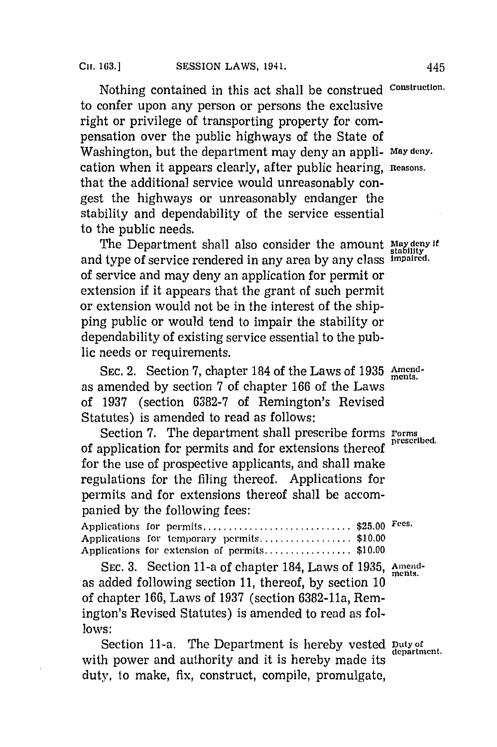Nothing contained in this act shall be construed Constructlon. to confer upon any person or persons the exclusive right or privilege of transporting property for compensation over the public highways of the State of Washington, but the department may deny an appli- May **deny.** cation when it appears clearly, after public hearing, **Reasons.** that the additional service would unreasonably congest the highways or unreasonably endanger the stability and dependability of the service essential to the public needs.

The Department shall also consider the amount May deny if and type of service rendered in any area **by** any class **I-paired,** of service and may deny an application for permit or extension if it appears that the grant of such permit or extension would not be in the interest of the shipping public or would tend to impair the stability or dependability of existing service essential to the public needs or requirements.

SEC. 2. Section 7, chapter 184 of the Laws of 1935 Amendas amended **by** section **7** of chapter **166** of the Laws of **1937** (section **6382-7** of Remington's Revised Statutes) is amended to read as follows:

Section 7. The department shall prescribe forms Forms prescribed. of application for permits and for extensions thereof for the use of prospective applicants, and shall make regulations for the filing thereof. Applications for permits and for extensions thereof shall be accompanied **by** the following fees:

|  | Applications for permits \$25.00 Fees.       |  |
|--|----------------------------------------------|--|
|  | Applications for temporary permits\$10.00    |  |
|  | Applications for extension of permits\$10.00 |  |

SEC. 3. Section 11-a of chapter 184, Laws of 1935, Amendas added following section **11,** thereof, **by** section **10** of chapter **166,** Laws of **1937** (section 6382-11a, Remington's Revised Statutes) is amended to read as fol**lows:**

Section 11-a. The Department is hereby vested puty of department. with power and authority and it is hereby made its duty, to make, fix, construct, compile, promulgate,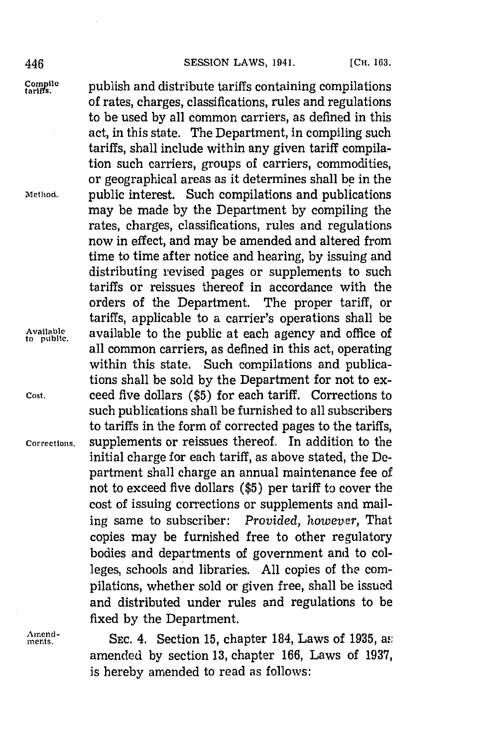## 446 **SESSION** LAWS, **1941. [CH. 163.**

Compile publish and distribute tariffs containing compilations of rates, charges, classifications, rules and regulations to be used **by** all common carriers, as defined in this act, in this state. The Department, in compiling such tariffs, shall include within any given tariff compilation such carriers, groups of carriers, commodities, or geographical areas as it determines shall **be** in the **Method.** public interest. Such compilations and publications may be made **by** the Department **by** compiling the rates, charges, classifications, rules and regulations now in effect, and may be amended and altered from time to time after notice and hearing, **by** issuing and distributing revised pages or supplements to such tariffs or reissues thereof in accordance with the orders of the Department. The proper tariff, or tariffs, applicable to a carrier's operations shall be Available available to the public at each agency and office of all common carriers, as defined in this act, operating within this state. Such compilations and publications shall be sold **by** the Department for not to ex-**Cost,** ceed five dollars **(\$5)** for each tariff. Corrections to such publications shall be furnished to all subscribers to tariffs in the form of corrected pages to the tariffs, **Corrections,** supplements or reissues thereof. In addition to the initial charge for each tariff, as above stated, the Department shall charge an annual maintenance fee of not to exceed five dollars **(\$5)** per tariff to cover the cost of issuing corrections or supplements and mailing same to subscriber: *Provided, however,* That copies may be furnished free to other regulatory bodies and departments of government and to colleges, schools and libraries. **All** copies of the compilations, whether sold or given free, shall be issued and distributed under rules and regulations to be fixed **by** the Department.

Amend-<br> **SEC. 4. Section 15, chapter 184, Laws of 1935, as** amended **by** section **13,** chapter **166,** Laws of **1937,** is hereby amended to read as follows: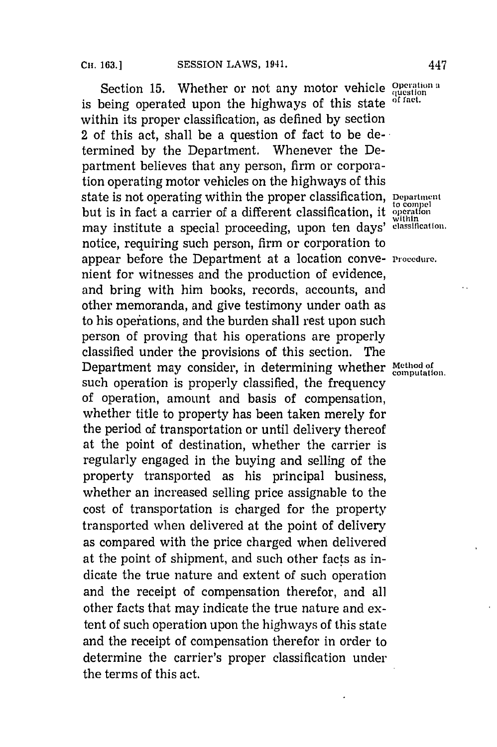Section 15. Whether or not any motor vehicle question a<br>hoing operated upon the highways of this state of fact. is being operated upon the highways of this state within its proper classification, as defined **by** section 2 of this act, shall be a question of fact to be determined **by** the Department. Whenever the Department believes that any person, firm or corporation operating motor vehicles on the highways of this state is not operating within the proper classification, **Department** but is in fact a carrier of a different classification, it within may institute a special proceeding, upon ten days' elassification notice, requiring such person, firm or corporation to appear before the Department at a location conve- **Procedure**. nient for witnesses and the production of evidence, and bring with him books, records, accounts, and other memoranda, and give testimony under oath as to his operations, and the burden shall rest upon such person of proving that his operations are properly classified under the provisions of this section. The Department may consider, in determining whether Method of computation. such operation is properly classified, the frequency of operation, amount and basis of compensation, whether title to property has been taken merely for the period of transportation or until delivery thercof at the point of destination, whether the carrier is regularly engaged in the buying and selling of the property transported as his principal business, whether an increased selling price assignable to the cost of transportation is charged for the property transported when delivered at the point of delivery as compared with the price charged when delivered at the point of shipment, and such other facts as indicate the true nature and extent of such operation and the receipt of compensation therefor, and all other facts that may indicate the true nature and extent of such operation upon the highways of this state and the receipt of compensation therefor in order to determine the carrier's proper classification under the terms of this act.